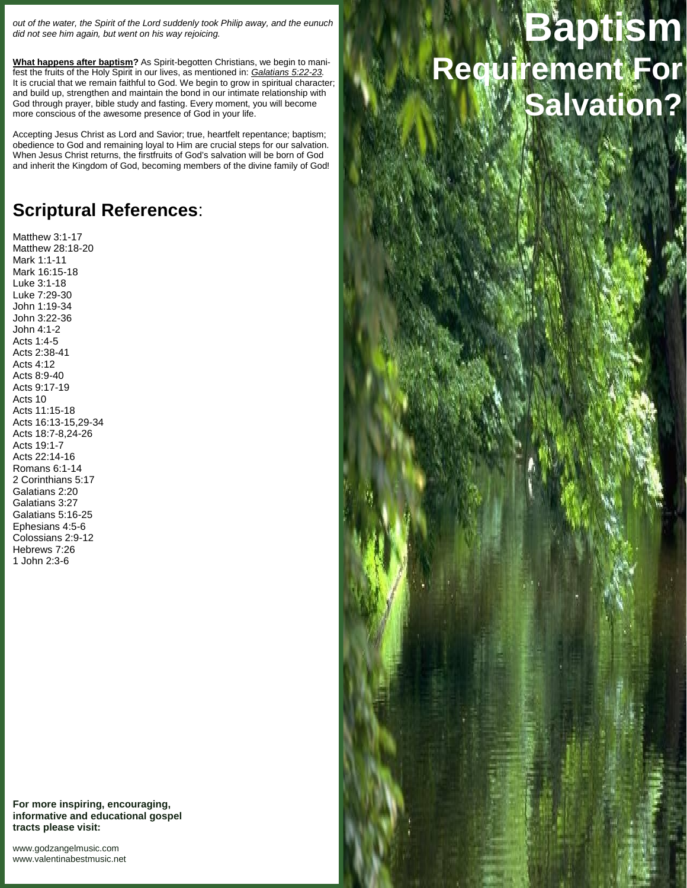*out of the water, the Spirit of the Lord suddenly took Philip away, and the eunuch did not see him again, but went on his way rejoicing.*

**What happens after baptism?** As Spirit-begotten Christians, we begin to manifest the fruits of the Holy Spirit in our lives, as mentioned in: *Galatians 5:22-23.* It is crucial that we remain faithful to God. We begin to grow in spiritual character; and build up, strengthen and maintain the bond in our intimate relationship with God through prayer, bible study and fasting. Every moment, you will become more conscious of the awesome presence of God in your life.

Accepting Jesus Christ as Lord and Savior; true, heartfelt repentance; baptism; obedience to God and remaining loyal to Him are crucial steps for our salvation. When Jesus Christ returns, the firstfruits of God's salvation will be born of God and inherit the Kingdom of God, becoming members of the divine family of God!

## **Scriptural References**:

Matthew 3:1-17 Matthew 28:18-20 Mark 1:1-11 Mark 16:15-18 Luke 3:1-18 Luke 7:29-30 John 1:19-34 John 3:22-36 John 4:1-2 Acts 1:4-5 Acts 2:38-41 Acts 4:12 Acts 8:9-40 Acts 9:17-19 Acts 10 Acts 11:15-18 Acts 16:13-15,29-34 Acts 18:7-8,24-26 Acts 19:1-7 Acts 22:14-16 Romans 6:1-14 2 Corinthians 5:17 Galatians 2:20 Galatians 3:27 Galatians 5:16-25 Ephesians 4:5-6 Colossians 2:9-12 Hebrews 7:26 1 John 2:3-6



<www.godzangelmusic.com> <www.valentinabestmusic.net>

## **Baptism Requirement For Salvation?**